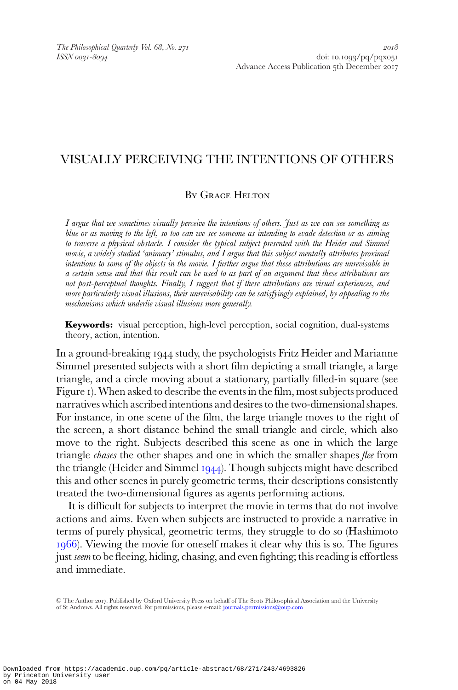# VISUALLY PERCEIVING THE INTENTIONS OF OTHERS

## By GRACE HELTON

*I argue that we sometimes visually perceive the intentions of others. Just as we can see something as blue or as moving to the left, so too can we see someone as intending to evade detection or as aiming to traverse a physical obstacle. I consider the typical subject presented with the Heider and Simmel movie, a widely studied 'animacy' stimulus, and I argue that this subject mentally attributes proximal intentions to some of the objects in the movie. I further argue that these attributions are unrevisable in a certain sense and that this result can be used to as part of an argument that these attributions are not post-perceptual thoughts. Finally, I suggest that if these attributions are visual experiences, and more particularly visual illusions, their unrevisability can be satisfyingly explained, by appealing to the mechanisms which underlie visual illusions more generally.*

**Keywords:** visual perception, high-level perception, social cognition, dual-systems theory, action, intention.

In a ground-breaking 1944 study, the psychologists Fritz Heider and Marianne Simmel presented subjects with a short film depicting a small triangle, a large triangle, and a circle moving about a stationary, partially filled-in square (see Figure 1). When asked to describe the events in the film, most subjects produced narratives which ascribed intentions and desires to the two-dimensiona[l](#page-1-0) shapes. For instance, in one scene of the film, the large triangle moves to the right of the screen, a short distance behind the small triangle and circle, which also move to the right. Subjects described this scene as one in which the large triangle *chases* the other shapes and one in which the smaller shapes *flee* from the triangle (Heider and Simmel [1944](#page-21-0)). Though subjects might have described this and other scenes in purely geometric terms, their descriptions consistently treated the two-dimensional figures as agents performing actions.

It is difficult for subjects to interpret the movie in terms that do not involve actions and aims. Even when subjects are instructed to provide a narrative in terms of purely physical, geometric terms, they struggle to do so (Hashimoto [1966](#page-20-0)). Viewing the movie for oneself makes it clear why this is so. The figures just *seem* to be fleeing, hiding, chasing, and even fighting; this reading is effortless and immediate.

<sup>-</sup>C The Author 2017. Published by Oxford University Press on behalf of The Scots Philosophical Association and the University of St Andrews. All rights reserved. For permissions, please e-mail: [journals.permissions@oup.com](mailto:journals.permissions@oup.com)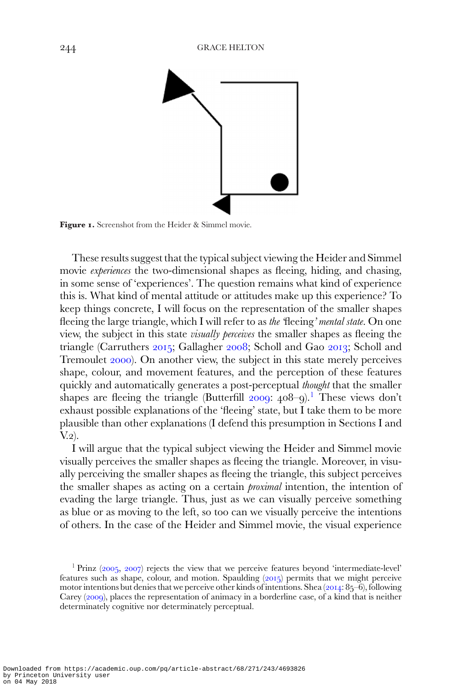<span id="page-1-0"></span>

**Figure 1.** Screenshot from the Heider & Simmel movie.

These results suggest that the typical subject viewing the Heider and Simmel movie *experiences* the two-dimensional shapes as fleeing, hiding, and chasing, in some sense of 'experiences'. The question remains what kind of experience this is. What kind of mental attitude or attitudes make up this experience? To keep things concrete, I will focus on the representation of the smaller shapes fleeing the large triangle, which I will refer to as *the '*fleeing*' mental state*. On one view, the subject in this state *visually perceives* the smaller shapes as fleeing the triangle (Carruthers [2015](#page-20-1); Gallagher [2008](#page-20-2); Scholl and Gao [2013](#page-21-1); Scholl and Tremoulet [2000](#page-21-2)). On another view, the subject in this state merely perceives shape, colour, and movement features, and the perception of these features quickly and automatically generates a post-perceptual *thought* that the smaller shapes are fleeing the triangle (Butterfill  $2009$ :  $408-9$ ).<sup>[1](#page-1-1)</sup> These views don't exhaust possible explanations of the 'fleeing' state, but I take them to be more plausible than other explanations (I defend this presumption in Sections I and V.2).

I will argue that the typical subject viewing the Heider and Simmel movie visually perceives the smaller shapes as fleeing the triangle. Moreover, in visually perceiving the smaller shapes as fleeing the triangle, this subject perceives the smaller shapes as acting on a certain *proximal* intention, the intention of evading the large triangle. Thus, just as we can visually perceive something as blue or as moving to the left, so too can we visually perceive the intentions of others. In the case of the Heider and Simmel movie, the visual experience

<span id="page-1-1"></span><sup>&</sup>lt;sup>1</sup> Prinz ([2005](#page-21-3), [2007](#page-21-4)) rejects the view that we perceive features beyond 'intermediate-level' features such as shape, colour, and motion. Spaulding ([2015](#page-21-5)) permits that we might perceive motor intentions but denies that we perceive other kinds of intentions. Shea ([2014](#page-21-6): 85–6), following Carey ([2009](#page-20-3)), places the representation of animacy in a borderline case, of a kind that is neither determinately cognitive nor determinately perceptual.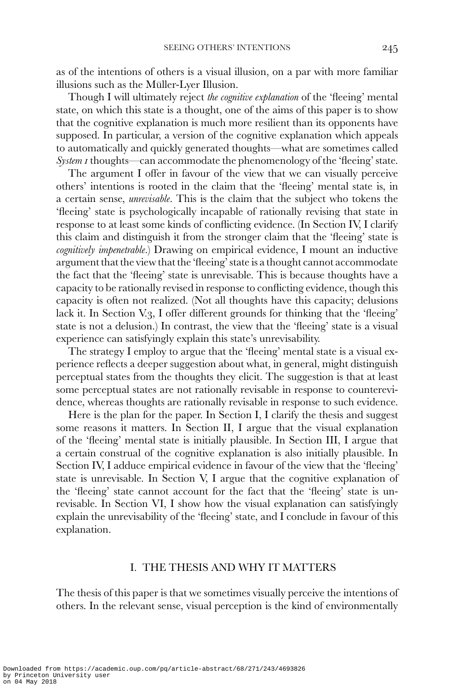as of the intentions of others is a visual illusion, on a par with more familiar illusions such as the Müller-Lyer Illusion.

Though I will ultimately reject *the cognitive explanation* of the 'fleeing' mental state, on which this state is a thought, one of the aims of this paper is to show that the cognitive explanation is much more resilient than its opponents have supposed. In particular, a version of the cognitive explanation which appeals to automatically and quickly generated thoughts—what are sometimes called *System 1*thoughts—can accommodate the phenomenology of the 'fleeing' state.

The argument I offer in favour of the view that we can visually perceive others' intentions is rooted in the claim that the 'fleeing' mental state is, in a certain sense, *unrevisable*. This is the claim that the subject who tokens the 'fleeing' state is psychologically incapable of rationally revising that state in response to at least some kinds of conflicting evidence. (In Section IV, I clarify this claim and distinguish it from the stronger claim that the 'fleeing' state is *cognitively impenetrable.*) Drawing on empirical evidence, I mount an inductive argument that the view that the 'fleeing' state is a thought cannot accommodate the fact that the 'fleeing' state is unrevisable. This is because thoughts have a capacity to be rationally revised in response to conflicting evidence, though this capacity is often not realized. (Not all thoughts have this capacity; delusions lack it. In Section V.3, I offer different grounds for thinking that the 'fleeing' state is not a delusion.) In contrast, the view that the 'fleeing' state is a visual experience can satisfyingly explain this state's unrevisability.

The strategy I employ to argue that the 'fleeing' mental state is a visual experience reflects a deeper suggestion about what, in general, might distinguish perceptual states from the thoughts they elicit. The suggestion is that at least some perceptual states are not rationally revisable in response to counterevidence, whereas thoughts are rationally revisable in response to such evidence.

Here is the plan for the paper. In Section I, I clarify the thesis and suggest some reasons it matters. In Section II, I argue that the visual explanation of the 'fleeing' mental state is initially plausible. In Section III, I argue that a certain construal of the cognitive explanation is also initially plausible. In Section IV, I adduce empirical evidence in favour of the view that the 'fleeing' state is unrevisable. In Section V, I argue that the cognitive explanation of the 'fleeing' state cannot account for the fact that the 'fleeing' state is unrevisable. In Section VI, I show how the visual explanation can satisfyingly explain the unrevisability of the 'fleeing' state, and I conclude in favour of this explanation.

## I. THE THESIS AND WHY IT MATTERS

The thesis of this paper is that we sometimes visually perceive the intentions of others. In the relevant sense, visual perception is the kind of environmentally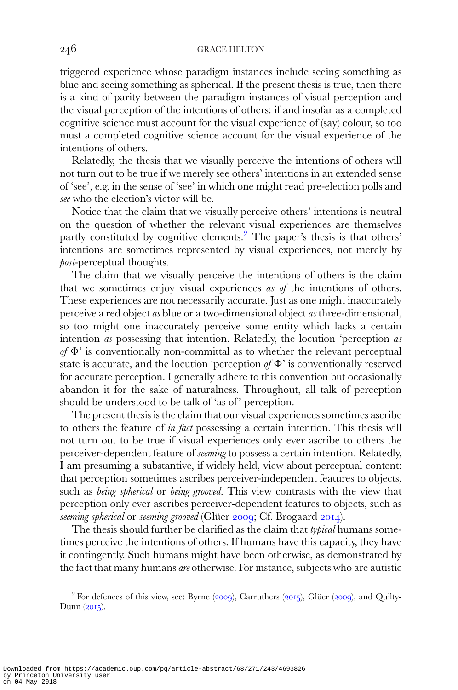triggered experience whose paradigm instances include seeing something as blue and seeing something as spherical. If the present thesis is true, then there is a kind of parity between the paradigm instances of visual perception and the visual perception of the intentions of others: if and insofar as a completed cognitive science must account for the visual experience of (say) colour, so too must a completed cognitive science account for the visual experience of the intentions of others.

Relatedly, the thesis that we visually perceive the intentions of others will not turn out to be true if we merely see others' intentions in an extended sense of 'see', e.g. in the sense of 'see' in which one might read pre-election polls and *see* who the election's victor will be.

Notice that the claim that we visually perceive others' intentions is neutral on the question of whether the relevant visual experiences are themselves partly constituted by cognitive elements.[2](#page-3-0) The paper's thesis is that others' intentions are sometimes represented by visual experiences, not merely by *post*-perceptual thoughts.

The claim that we visually perceive the intentions of others is the claim that we sometimes enjoy visual experiences *as of* the intentions of others. These experiences are not necessarily accurate. Just as one might inaccurately perceive a red object *as* blue or a two-dimensional object *as* three-dimensional, so too might one inaccurately perceive some entity which lacks a certain intention *as* possessing that intention. Relatedly, the locution 'perception *as*  $\phi f \Phi'$  is conventionally non-committal as to whether the relevant perceptual state is accurate, and the locution 'perception  $\mathit{of} \, \Phi$ ' is conventionally reserved for accurate perception. I generally adhere to this convention but occasionally abandon it for the sake of naturalness. Throughout, all talk of perception should be understood to be talk of 'as of' perception.

The present thesis is the claim that our visual experiences sometimes ascribe to others the feature of *in fact* possessing a certain intention. This thesis will not turn out to be true if visual experiences only ever ascribe to others the perceiver-dependent feature of *seeming* to possess a certain intention. Relatedly, I am presuming a substantive, if widely held, view about perceptual content: that perception sometimes ascribes perceiver-independent features to objects, such as *being spherical* or *being grooved*. This view contrasts with the view that perception only ever ascribes perceiver-dependent features to objects, such as *seeming spherical* or *seeming grooved* (Glüer [2009](#page-20-4); Cf. Brogaard [2014](#page-19-1)).

The thesis should further be clarified as the claim that *typical* humans sometimes perceive the intentions of others. If humans have this capacity, they have it contingently. Such humans might have been otherwise, as demonstrated by the fact that many humans *are* otherwise. For instance, subjects who are autistic

<span id="page-3-0"></span><sup>&</sup>lt;sup>2</sup> For defences of this view, see: Byrne ([2009](#page-20-4)), Carruthers ([2015](#page-20-1)), Glüer (2009), and Quilty-Dunn ([2015](#page-21-7)).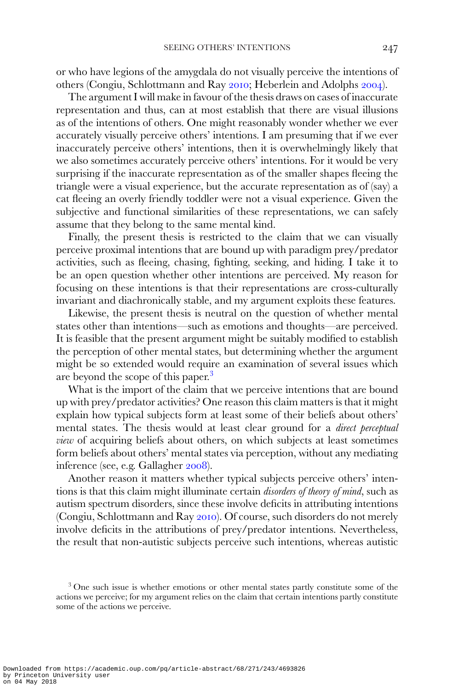or who have legions of the amygdala do not visually perceive the intentions of others (Congiu, Schlottmann and Ray [2010](#page-20-5); Heberlein and Adolphs [2004](#page-20-6)).

The argument I will make in favour of the thesis draws on cases of inaccurate representation and thus, can at most establish that there are visual illusions as of the intentions of others. One might reasonably wonder whether we ever accurately visually perceive others' intentions. I am presuming that if we ever inaccurately perceive others' intentions, then it is overwhelmingly likely that we also sometimes accurately perceive others' intentions. For it would be very surprising if the inaccurate representation as of the smaller shapes fleeing the triangle were a visual experience, but the accurate representation as of (say) a cat fleeing an overly friendly toddler were not a visual experience. Given the subjective and functional similarities of these representations, we can safely assume that they belong to the same mental kind.

Finally, the present thesis is restricted to the claim that we can visually perceive proximal intentions that are bound up with paradigm prey/predator activities, such as fleeing, chasing, fighting, seeking, and hiding. I take it to be an open question whether other intentions are perceived. My reason for focusing on these intentions is that their representations are cross-culturally invariant and diachronically stable, and my argument exploits these features.

Likewise, the present thesis is neutral on the question of whether mental states other than intentions—such as emotions and thoughts—are perceived. It is feasible that the present argument might be suitably modified to establish the perception of other mental states, but determining whether the argument might be so extended would require an examination of several issues which are beyond the scope of this paper.[3](#page-4-0)

What is the import of the claim that we perceive intentions that are bound up with prey/predator activities? One reason this claim matters is that it might explain how typical subjects form at least some of their beliefs about others' mental states. The thesis would at least clear ground for a *direct perceptual view* of acquiring beliefs about others, on which subjects at least sometimes form beliefs about others' mental states via perception, without any mediating inference (see, e.g. Gallagher [2008](#page-20-2)).

Another reason it matters whether typical subjects perceive others' intentions is that this claim might illuminate certain *disorders of theory of mind*, such as autism spectrum disorders, since these involve deficits in attributing intentions (Congiu, Schlottmann and Ray [2010](#page-20-5)). Of course, such disorders do not merely involve deficits in the attributions of prey/predator intentions. Nevertheless, the result that non-autistic subjects perceive such intentions, whereas autistic

<span id="page-4-0"></span><sup>&</sup>lt;sup>3</sup> One such issue is whether emotions or other mental states partly constitute some of the actions we perceive; for my argument relies on the claim that certain intentions partly constitute some of the actions we perceive.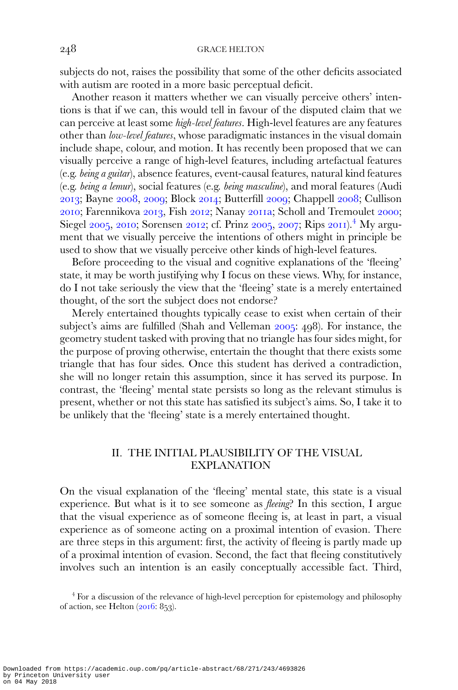subjects do not, raises the possibility that some of the other deficits associated with autism are rooted in a more basic perceptual deficit.

Another reason it matters whether we can visually perceive others' intentions is that if we can, this would tell in favour of the disputed claim that we can perceive at least some *high-level features*. High-level features are any features other than *low-level features*, whose paradigmatic instances in the visual domain include shape, colour, and motion. It has recently been proposed that we can visually perceive a range of high-level features, including artefactual features (e.g. *being a guitar*), absence features, event-causal features, natural kind features (e.g. *being a lemur*), social features (e.g. *being masculine*), and moral features (Audi [2013](#page-19-3); Bayne [2008](#page-19-4), [2009](#page-19-5); Block [2014](#page-19-6); Butterfill [2009](#page-19-0); Chappell [2008](#page-20-7); Cullison [2010](#page-20-8); Farennikova [2013](#page-20-9), Fish [2012](#page-20-10); Nanay [2011](#page-21-8)a; Scholl and Tremoulet [2000](#page-21-2); Siegel [2005](#page-21-3), [2010](#page-21-10); Sorensen [2012](#page-21-11); cf. Prinz 2005, [2007](#page-21-4); Rips [2011](#page-21-12)).<sup>[4](#page-5-0)</sup> My argument that we visually perceive the intentions of others might in principle be used to show that we visually perceive other kinds of high-level features.

Before proceeding to the visual and cognitive explanations of the 'fleeing' state, it may be worth justifying why I focus on these views. Why, for instance, do I not take seriously the view that the 'fleeing' state is a merely entertained thought, of the sort the subject does not endorse?

Merely entertained thoughts typically cease to exist when certain of their subject's aims are fulfilled (Shah and Velleman [2005](#page-21-13): 498). For instance, the geometry student tasked with proving that no triangle has four sides might, for the purpose of proving otherwise, entertain the thought that there exists some triangle that has four sides. Once this student has derived a contradiction, she will no longer retain this assumption, since it has served its purpose. In contrast, the 'fleeing' mental state persists so long as the relevant stimulus is present, whether or not this state has satisfied its subject's aims. So, I take it to be unlikely that the 'fleeing' state is a merely entertained thought.

## II. THE INITIAL PLAUSIBILITY OF THE VISUAL EXPLANATION

On the visual explanation of the 'fleeing' mental state, this state is a visual experience. But what is it to see someone as *fleeing*? In this section, I argue that the visual experience as of someone fleeing is, at least in part, a visual experience as of someone acting on a proximal intention of evasion. There are three steps in this argument: first, the activity of fleeing is partly made up of a proximal intention of evasion. Second, the fact that fleeing constitutively involves such an intention is an easily conceptually accessible fact. Third,

<span id="page-5-0"></span><sup>4</sup> For a discussion of the relevance of high-level perception for epistemology and philosophy of action, see Helton ([2016](#page-21-14): 853).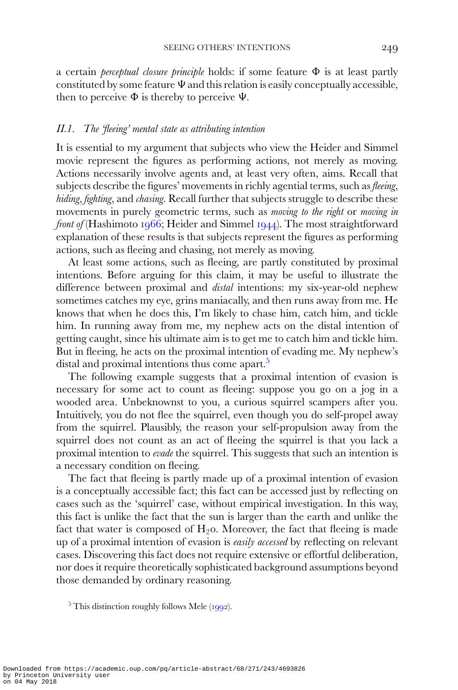a certain *perceptual closure principle* holds: if some feature  $\Phi$  is at least partly constituted by some feature  $\Psi$  and this relation is easily conceptually accessible, then to perceive  $\Phi$  is thereby to perceive  $\Psi$ .

### *II.1. The 'fleeing' mental state as attributing intention*

It is essential to my argument that subjects who view the Heider and Simmel movie represent the figures as performing actions, not merely as moving. Actions necessarily involve agents and, at least very often, aims. Recall that subjects describe the figures' movements in richly agential terms, such as *fleeing*, *hiding*, *fighting*, and *chasing*. Recall further that subjects struggle to describe these movements in purely geometric terms, such as *moving to the right* or *moving in front of* (Hashimoto [1966](#page-20-0); Heider and Simmel [1944](#page-21-0)). The most straightforward explanation of these results is that subjects represent the figures as performing actions, such as fleeing and chasing, not merely as moving.

At least some actions, such as fleeing, are partly constituted by proximal intentions. Before arguing for this claim, it may be useful to illustrate the difference between proximal and *distal* intentions: my six-year-old nephew sometimes catches my eye, grins maniacally, and then runs away from me. He knows that when he does this, I'm likely to chase him, catch him, and tickle him. In running away from me, my nephew acts on the distal intention of getting caught, since his ultimate aim is to get me to catch him and tickle him. But in fleeing, he acts on the proximal intention of evading me. My nephew's distal and proximal intentions thus come apart.<sup>5</sup>

The following example suggests that a proximal intention of evasion is necessary for some act to count as fleeing: suppose you go on a jog in a wooded area. Unbeknownst to you, a curious squirrel scampers after you. Intuitively, you do not flee the squirrel, even though you do self-propel away from the squirrel. Plausibly, the reason your self-propulsion away from the squirrel does not count as an act of fleeing the squirrel is that you lack a proximal intention to *evade* the squirrel. This suggests that such an intention is a necessary condition on fleeing.

The fact that fleeing is partly made up of a proximal intention of evasion is a conceptually accessible fact; this fact can be accessed just by reflecting on cases such as the 'squirrel' case, without empirical investigation. In this way, this fact is unlike the fact that the sun is larger than the earth and unlike the fact that water is composed of  $H_2$ o. Moreover, the fact that fleeing is made up of a proximal intention of evasion is *easily accessed* by reflecting on relevant cases. Discovering this fact does not require extensive or effortful deliberation, nor does it require theoretically sophisticated background assumptions beyond those demanded by ordinary reasoning.

<span id="page-6-0"></span><sup>&</sup>lt;sup>5</sup> This distinction roughly follows Mele ([1992](#page-21-15)).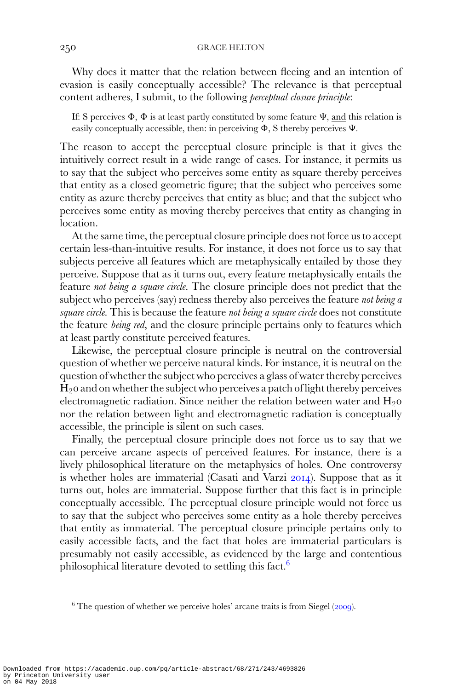#### 250 GRACE HELTON

Why does it matter that the relation between fleeing and an intention of evasion is easily conceptually accessible? The relevance is that perceptual content adheres, I submit, to the following *perceptual closure principle*:

If: S perceives  $\Phi, \Phi$  is at least partly constituted by some feature  $\Psi, \underline{\text{and}}$  this relation is easily conceptually accessible, then: in perceiving  $\Phi,$  S thereby perceives  $\Psi.$ 

The reason to accept the perceptual closure principle is that it gives the intuitively correct result in a wide range of cases. For instance, it permits us to say that the subject who perceives some entity as square thereby perceives that entity as a closed geometric figure; that the subject who perceives some entity as azure thereby perceives that entity as blue; and that the subject who perceives some entity as moving thereby perceives that entity as changing in location.

At the same time, the perceptual closure principle does not force us to accept certain less-than-intuitive results. For instance, it does not force us to say that subjects perceive all features which are metaphysically entailed by those they perceive. Suppose that as it turns out, every feature metaphysically entails the feature *not being a square circle*. The closure principle does not predict that the subject who perceives (say) redness thereby also perceives the feature *not being a square circle.* This is because the feature *not being a square circle* does not constitute the feature *being red*, and the closure principle pertains only to features which at least partly constitute perceived features.

Likewise, the perceptual closure principle is neutral on the controversial question of whether we perceive natural kinds. For instance, it is neutral on the question of whether the subject who perceives a glass of water thereby perceives  $H_2$ o and on whether the subject who perceives a patch of light thereby perceives electromagnetic radiation. Since neither the relation between water and  $H_2$ o nor the relation between light and electromagnetic radiation is conceptually accessible, the principle is silent on such cases.

Finally, the perceptual closure principle does not force us to say that we can perceive arcane aspects of perceived features. For instance, there is a lively philosophical literature on the metaphysics of holes. One controversy is whether holes are immaterial (Casati and Varzi [2014](#page-20-11)). Suppose that as it turns out, holes are immaterial. Suppose further that this fact is in principle conceptually accessible. The perceptual closure principle would not force us to say that the subject who perceives some entity as a hole thereby perceives that entity as immaterial. The perceptual closure principle pertains only to easily accessible facts, and the fact that holes are immaterial particulars is presumably not easily accessible, as evidenced by the large and contentious philosophical literature devoted to settling this fact[.6](#page-7-0)

<span id="page-7-0"></span> $6$  The question of whether we perceive holes' arcane traits is from Siegel ( $2009$ ).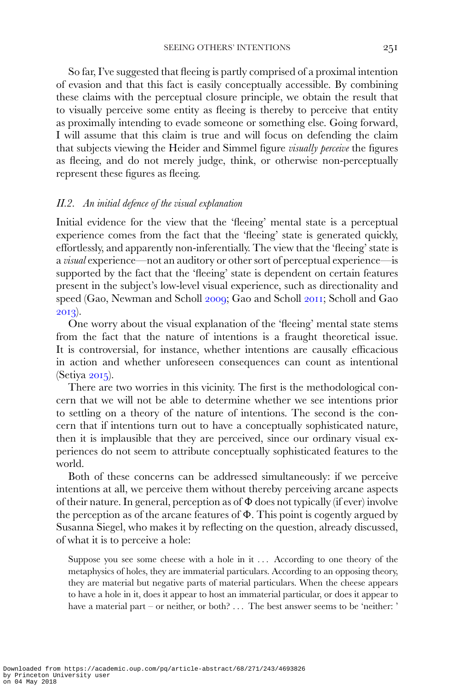So far, I've suggested that fleeing is partly comprised of a proximal intention of evasion and that this fact is easily conceptually accessible. By combining these claims with the perceptual closure principle, we obtain the result that to visually perceive some entity as fleeing is thereby to perceive that entity as proximally intending to evade someone or something else. Going forward, I will assume that this claim is true and will focus on defending the claim that subjects viewing the Heider and Simmel figure *visually perceive* the figures as fleeing, and do not merely judge, think, or otherwise non-perceptually represent these figures as fleeing.

## *II.2. An initial defence of the visual explanation*

Initial evidence for the view that the 'fleeing' mental state is a perceptual experience comes from the fact that the 'fleeing' state is generated quickly, effortlessly, and apparently non-inferentially. The view that the 'fleeing' state is a *visual* experience—not an auditory or other sort of perceptual experience—is supported by the fact that the 'fleeing' state is dependent on certain features present in the subject's low-level visual experience, such as directionality and speed (Gao, Newman and Scholl [2009](#page-20-12); Gao and Scholl [2011](#page-20-13); Scholl and Gao [2013](#page-21-1)).

One worry about the visual explanation of the 'fleeing' mental state stems from the fact that the nature of intentions is a fraught theoretical issue. It is controversial, for instance, whether intentions are causally efficacious in action and whether unforeseen consequences can count as intentional (Setiya [2015](#page-21-17)).

There are two worries in this vicinity. The first is the methodological concern that we will not be able to determine whether we see intentions prior to settling on a theory of the nature of intentions. The second is the concern that if intentions turn out to have a conceptually sophisticated nature, then it is implausible that they are perceived, since our ordinary visual experiences do not seem to attribute conceptually sophisticated features to the world.

Both of these concerns can be addressed simultaneously: if we perceive intentions at all, we perceive them without thereby perceiving arcane aspects of their nature. In general, perception as of  $\Phi$  does not typically (if ever) involve the perception as of the arcane features of  $\Phi$ . This point is cogently argued by Susanna Siegel, who makes it by reflecting on the question, already discussed, of what it is to perceive a hole:

Suppose you see some cheese with a hole in it  $\ldots$  According to one theory of the metaphysics of holes, they are immaterial particulars. According to an opposing theory, they are material but negative parts of material particulars. When the cheese appears to have a hole in it, does it appear to host an immaterial particular, or does it appear to have a material part – or neither, or both? . . . The best answer seems to be 'neither: '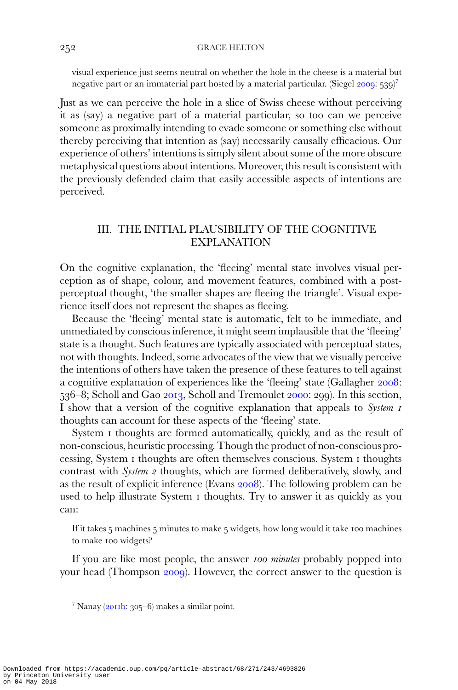#### 252 GRACE HELTON

visual experience just seems neutral on whether the hole in the cheese is a material but negative part or an immaterial part hosted by a material particular. (Siegel [2009](#page-21-16): 539) $^7$  $^7$ 

Just as we can perceive the hole in a slice of Swiss cheese without perceiving it as (say) a negative part of a material particular, so too can we perceive someone as proximally intending to evade someone or something else without thereby perceiving that intention as (say) necessarily causally efficacious. Our experience of others' intentions is simply silent about some of the more obscure metaphysical questions about intentions. Moreover, this result is consistent with the previously defended claim that easily accessible aspects of intentions are perceived.

## III. THE INITIAL PLAUSIBILITY OF THE COGNITIVE EXPLANATION

On the cognitive explanation, the 'fleeing' mental state involves visual perception as of shape, colour, and movement features, combined with a postperceptual thought, 'the smaller shapes are fleeing the triangle'. Visual experience itself does not represent the shapes as fleeing.

Because the 'fleeing' mental state is automatic, felt to be immediate, and unmediated by conscious inference, it might seem implausible that the 'fleeing' state is a thought. Such features are typically associated with perceptual states, not with thoughts. Indeed, some advocates of the view that we visually perceive the intentions of others have taken the presence of these features to tell against a cognitive explanation of experiences like the 'fleeing' state (Gallagher [2008](#page-20-2): 536–8; Scholl and Gao [2013](#page-21-1), Scholl and Tremoulet [2000](#page-21-2): 299). In this section, I show that a version of the cognitive explanation that appeals to *System 1* thoughts can account for these aspects of the 'fleeing' state.

System 1 thoughts are formed automatically, quickly, and as the result of non-conscious, heuristic processing. Though the product of non-conscious processing, System 1 thoughts are often themselves conscious. System 1 thoughts contrast with *System 2* thoughts, which are formed deliberatively, slowly, and as the result of explicit inference (Evans [2008](#page-20-14)). The following problem can be used to help illustrate System 1 thoughts. Try to answer it as quickly as you can:

If it takes 5 machines 5 minutes to make 5 widgets, how long would it take 100 machines to make 100 widgets?

If you are like most people, the answer *100 minutes* probably popped into your head (Thompson [2009](#page-21-18)). However, the correct answer to the question is

<span id="page-9-0"></span> $7$  Nanay ([2011](#page-21-19)b: 305–6) makes a similar point.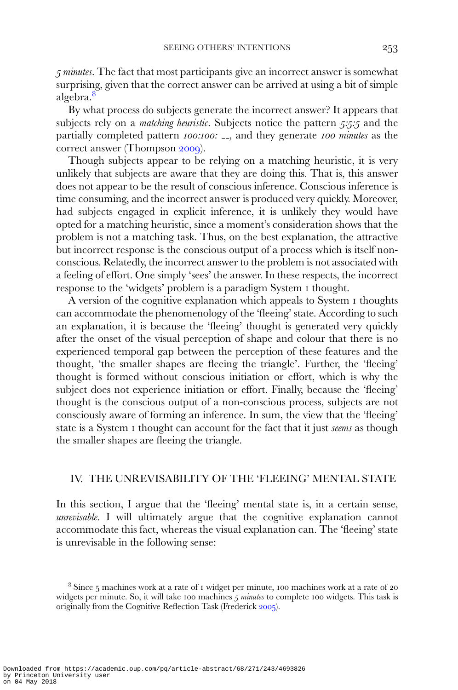*5 minutes*. The fact that most participants give an incorrect answer is somewhat surprising, given that the correct answer can be arrived at using a bit of simple algebra.<sup>[8](#page-10-0)</sup>

By what process do subjects generate the incorrect answer? It appears that subjects rely on a *matching heuristic*. Subjects notice the pattern *5:5:5* and the partially completed pattern *100:100:* , and they generate *100 minutes* as the correct answer (Thompson [2009](#page-21-18)).

Though subjects appear to be relying on a matching heuristic, it is very unlikely that subjects are aware that they are doing this. That is, this answer does not appear to be the result of conscious inference. Conscious inference is time consuming, and the incorrect answer is produced very quickly. Moreover, had subjects engaged in explicit inference, it is unlikely they would have opted for a matching heuristic, since a moment's consideration shows that the problem is not a matching task. Thus, on the best explanation, the attractive but incorrect response is the conscious output of a process which is itself nonconscious. Relatedly, the incorrect answer to the problem is not associated with a feeling of effort. One simply 'sees' the answer. In these respects, the incorrect response to the 'widgets' problem is a paradigm System 1 thought.

A version of the cognitive explanation which appeals to System 1 thoughts can accommodate the phenomenology of the 'fleeing' state. According to such an explanation, it is because the 'fleeing' thought is generated very quickly after the onset of the visual perception of shape and colour that there is no experienced temporal gap between the perception of these features and the thought, 'the smaller shapes are fleeing the triangle'. Further, the 'fleeing' thought is formed without conscious initiation or effort, which is why the subject does not experience initiation or effort. Finally, because the 'fleeing' thought is the conscious output of a non-conscious process, subjects are not consciously aware of forming an inference. In sum, the view that the 'fleeing' state is a System 1 thought can account for the fact that it just *seems* as though the smaller shapes are fleeing the triangle.

## IV. THE UNREVISABILITY OF THE 'FLEEING' MENTAL STATE

In this section, I argue that the 'fleeing' mental state is, in a certain sense, *unrevisable*. I will ultimately argue that the cognitive explanation cannot accommodate this fact, whereas the visual explanation can. The 'fleeing' state is unrevisable in the following sense:

<span id="page-10-0"></span><sup>&</sup>lt;sup>8</sup> Since 5 machines work at a rate of 1 widget per minute, 100 machines work at a rate of 20 widgets per minute. So, it will take 100 machines *5 minutes* to complete 100 widgets. This task is originally from the Cognitive Reflection Task (Frederick [2005](#page-20-15)).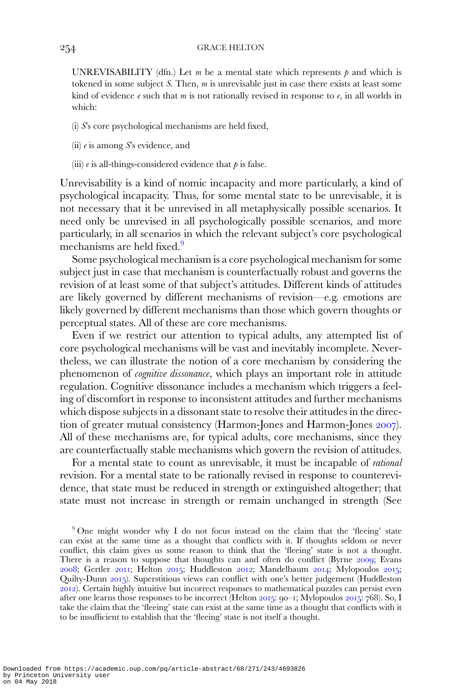#### 254 GRACE HELTON

UNREVISABILITY (dfn.) Let  $m$  be a mental state which represents  $p$  and which is tokened in some subject *S*. Then, *m* is unrevisable just in case there exists at least some kind of evidence *e* such that *m* is not rationally revised in response to *e*, in all worlds in which:

- (i) *S*'s core psychological mechanisms are held fixed,
- (ii) *e* is among *S*'s evidence, and
- (iii)  $e$  is all-things-considered evidence that  $p$  is false.

Unrevisability is a kind of nomic incapacity and more particularly, a kind of psychological incapacity. Thus, for some mental state to be unrevisable, it is not necessary that it be unrevised in all metaphysically possible scenarios. It need only be unrevised in all psychologically possible scenarios, and more particularly, in all scenarios in which the relevant subject's core psychological mechanisms are held fixed.<sup>[9](#page-11-0)</sup>

Some psychological mechanism is a core psychological mechanism for some subject just in case that mechanism is counterfactually robust and governs the revision of at least some of that subject's attitudes. Different kinds of attitudes are likely governed by different mechanisms of revision—e.g. emotions are likely governed by different mechanisms than those which govern thoughts or perceptual states. All of these are core mechanisms.

Even if we restrict our attention to typical adults, any attempted list of core psychological mechanisms will be vast and inevitably incomplete. Nevertheless, we can illustrate the notion of a core mechanism by considering the phenomenon of *cognitive dissonance*, which plays an important role in attitude regulation. Cognitive dissonance includes a mechanism which triggers a feeling of discomfort in response to inconsistent attitudes and further mechanisms which dispose subjects in a dissonant state to resolve their attitudes in the direction of greater mutual consistency (Harmon-Jones and Harmon-Jones [2007](#page-20-16)). All of these mechanisms are, for typical adults, core mechanisms, since they are counterfactually stable mechanisms which govern the revision of attitudes.

For a mental state to count as unrevisable, it must be incapable of *rational* revision. For a mental state to be rationally revised in response to counterevidence, that state must be reduced in strength or extinguished altogether; that state must not increase in strength or remain unchanged in strength (See

<span id="page-11-0"></span><sup>9</sup> One might wonder why I do not focus instead on the claim that the 'fleeing' state can exist at the same time as a thought that conflicts with it. If thoughts seldom or never conflict, this claim gives us some reason to think that the 'fleeing' state is not a thought. There is a reason to suppose that thoughts can and often do conflict (Byrne [2009](#page-19-2); Evans [2008](#page-20-14); Gertler [2011](#page-20-17); Helton [2015](#page-21-20); Huddleston [2012](#page-21-21); Mandelbaum [2014](#page-21-22); Mylopoulos [2015](#page-21-23); Quilty-Dunn [2015](#page-21-7)). Superstitious views can conflict with one's better judgement (Huddleston [2012](#page-21-21)). Certain highly intuitive but incorrect responses to mathematical puzzles can persist even after one learns those responses to be incorrect (Helton [2015](#page-21-20): 90–1; Mylopoulos [2015](#page-21-23): 768). So, I take the claim that the 'fleeing' state can exist at the same time as a thought that conflicts with it to be insufficient to establish that the 'fleeing' state is not itself a thought.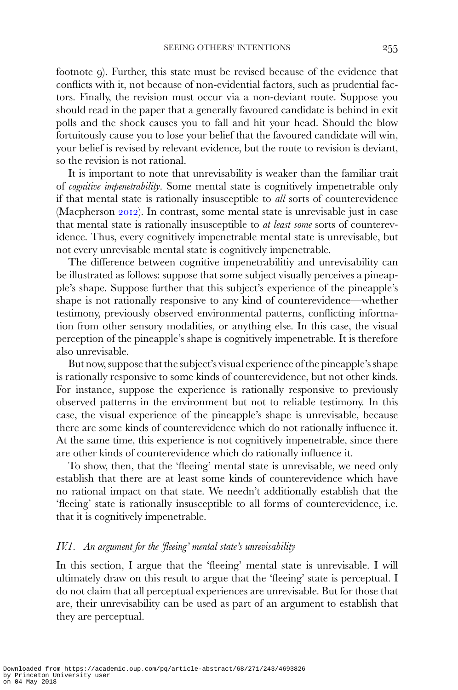footnote 9). Further, this state must be revised because of the evidence that conflicts with it, not because of non-evidential factors, such as prudential factors. Finally, the revision must occur via a non-deviant route. Suppose you should read in the paper that a generally favoured candidate is behind in exit polls and the shock causes you to fall and hit your head. Should the blow fortuitously cause you to lose your belief that the favoured candidate will win, your belief is revised by relevant evidence, but the route to revision is deviant, so the revision is not rational.

It is important to note that unrevisability is weaker than the familiar trait of *cognitive impenetrability*. Some mental state is cognitively impenetrable only if that mental state is rationally insusceptible to *all* sorts of counterevidence (Macpherson [2012](#page-21-24)). In contrast, some mental state is unrevisable just in case that mental state is rationally insusceptible to *at least some* sorts of counterevidence. Thus, every cognitively impenetrable mental state is unrevisable, but not every unrevisable mental state is cognitively impenetrable.

The difference between cognitive impenetrabilitiy and unrevisability can be illustrated as follows: suppose that some subject visually perceives a pineapple's shape. Suppose further that this subject's experience of the pineapple's shape is not rationally responsive to any kind of counterevidence—whether testimony, previously observed environmental patterns, conflicting information from other sensory modalities, or anything else. In this case, the visual perception of the pineapple's shape is cognitively impenetrable. It is therefore also unrevisable.

But now, suppose that the subject's visual experience of the pineapple's shape is rationally responsive to some kinds of counterevidence, but not other kinds. For instance, suppose the experience is rationally responsive to previously observed patterns in the environment but not to reliable testimony. In this case, the visual experience of the pineapple's shape is unrevisable, because there are some kinds of counterevidence which do not rationally influence it. At the same time, this experience is not cognitively impenetrable, since there are other kinds of counterevidence which do rationally influence it.

To show, then, that the 'fleeing' mental state is unrevisable, we need only establish that there are at least some kinds of counterevidence which have no rational impact on that state. We needn't additionally establish that the 'fleeing' state is rationally insusceptible to all forms of counterevidence, i.e. that it is cognitively impenetrable.

## *IV.1. An argument for the 'fleeing' mental state's unrevisability*

In this section, I argue that the 'fleeing' mental state is unrevisable. I will ultimately draw on this result to argue that the 'fleeing' state is perceptual. I do not claim that all perceptual experiences are unrevisable. But for those that are, their unrevisability can be used as part of an argument to establish that they are perceptual.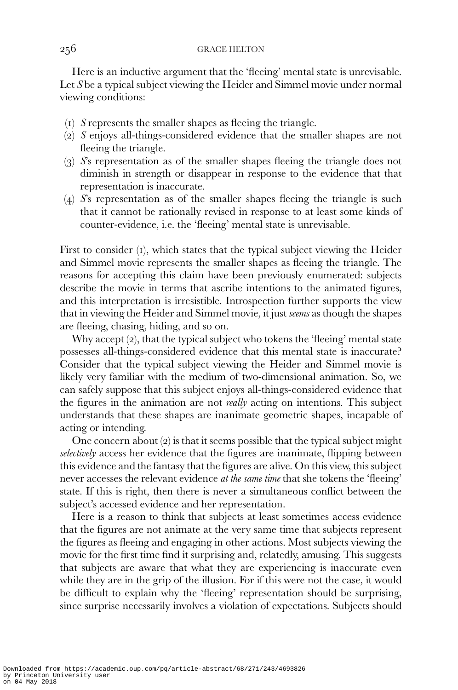Here is an inductive argument that the 'fleeing' mental state is unrevisable. Let *S* be a typical subject viewing the Heider and Simmel movie under normal viewing conditions:

- (1) *S* represents the smaller shapes as fleeing the triangle.
- (2) *S* enjoys all-things-considered evidence that the smaller shapes are not fleeing the triangle.
- (3) *S*'s representation as of the smaller shapes fleeing the triangle does not diminish in strength or disappear in response to the evidence that that representation is inaccurate.
- (4) *S*'s representation as of the smaller shapes fleeing the triangle is such that it cannot be rationally revised in response to at least some kinds of counter-evidence, i.e. the 'fleeing' mental state is unrevisable.

First to consider (1), which states that the typical subject viewing the Heider and Simmel movie represents the smaller shapes as fleeing the triangle. The reasons for accepting this claim have been previously enumerated: subjects describe the movie in terms that ascribe intentions to the animated figures, and this interpretation is irresistible. Introspection further supports the view that in viewing the Heider and Simmel movie, it just *seems* as though the shapes are fleeing, chasing, hiding, and so on.

Why accept (2), that the typical subject who tokens the 'fleeing' mental state possesses all-things-considered evidence that this mental state is inaccurate? Consider that the typical subject viewing the Heider and Simmel movie is likely very familiar with the medium of two-dimensional animation. So, we can safely suppose that this subject enjoys all-things-considered evidence that the figures in the animation are not *really* acting on intentions. This subject understands that these shapes are inanimate geometric shapes, incapable of acting or intending.

One concern about (2) is that it seems possible that the typical subject might *selectively* access her evidence that the figures are inanimate, flipping between this evidence and the fantasy that the figures are alive. On this view, this subject never accesses the relevant evidence *at the same time* that she tokens the 'fleeing' state. If this is right, then there is never a simultaneous conflict between the subject's accessed evidence and her representation.

Here is a reason to think that subjects at least sometimes access evidence that the figures are not animate at the very same time that subjects represent the figures as fleeing and engaging in other actions. Most subjects viewing the movie for the first time find it surprising and, relatedly, amusing. This suggests that subjects are aware that what they are experiencing is inaccurate even while they are in the grip of the illusion. For if this were not the case, it would be difficult to explain why the 'fleeing' representation should be surprising, since surprise necessarily involves a violation of expectations. Subjects should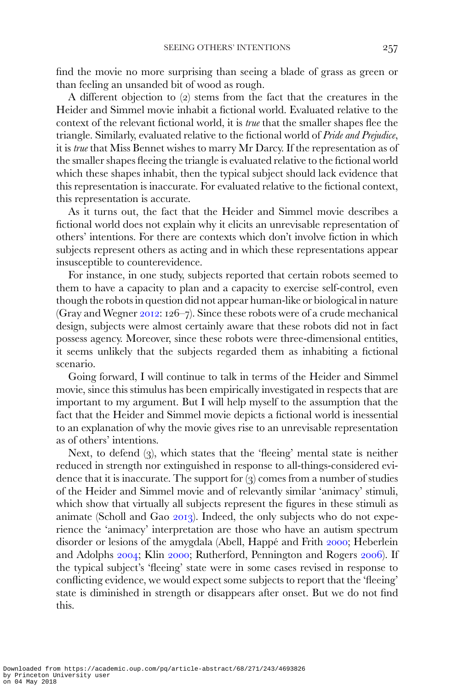find the movie no more surprising than seeing a blade of grass as green or than feeling an unsanded bit of wood as rough.

A different objection to (2) stems from the fact that the creatures in the Heider and Simmel movie inhabit a fictional world. Evaluated relative to the context of the relevant fictional world, it is *true* that the smaller shapes flee the triangle. Similarly, evaluated relative to the fictional world of *Pride and Prejudice*, it is *true* that Miss Bennet wishes to marry Mr Darcy. If the representation as of the smaller shapes fleeing the triangle is evaluated relative to the fictional world which these shapes inhabit, then the typical subject should lack evidence that this representation is inaccurate. For evaluated relative to the fictional context, this representation is accurate.

As it turns out, the fact that the Heider and Simmel movie describes a fictional world does not explain why it elicits an unrevisable representation of others' intentions. For there are contexts which don't involve fiction in which subjects represent others as acting and in which these representations appear insusceptible to counterevidence.

For instance, in one study, subjects reported that certain robots seemed to them to have a capacity to plan and a capacity to exercise self-control, even though the robots in question did not appear human-like or biological in nature (Gray and Wegner [2012](#page-20-18): 126–7). Since these robots were of a crude mechanical design, subjects were almost certainly aware that these robots did not in fact possess agency. Moreover, since these robots were three-dimensional entities, it seems unlikely that the subjects regarded them as inhabiting a fictional scenario.

Going forward, I will continue to talk in terms of the Heider and Simmel movie, since this stimulus has been empirically investigated in respects that are important to my argument. But I will help myself to the assumption that the fact that the Heider and Simmel movie depicts a fictional world is inessential to an explanation of why the movie gives rise to an unrevisable representation as of others' intentions.

Next, to defend (3), which states that the 'fleeing' mental state is neither reduced in strength nor extinguished in response to all-things-considered evidence that it is inaccurate. The support for  $(3)$  comes from a number of studies of the Heider and Simmel movie and of relevantly similar 'animacy' stimuli, which show that virtually all subjects represent the figures in these stimuli as animate (Scholl and Gao [2013](#page-21-1)). Indeed, the only subjects who do not experience the 'animacy' interpretation are those who have an autism spectrum disorder or lesions of the amygdala (Abell, Happé and Frith [2000](#page-19-7); Heberlein and Adolphs [2004](#page-20-6); Klin [2000](#page-21-25); Rutherford, Pennington and Rogers [2006](#page-21-26)). If the typical subject's 'fleeing' state were in some cases revised in response to conflicting evidence, we would expect some subjects to report that the 'fleeing' state is diminished in strength or disappears after onset. But we do not find this.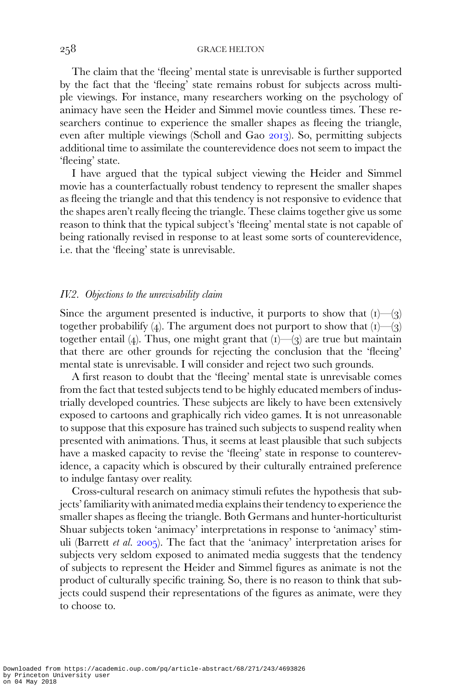### 258 GRACE HELTON

The claim that the 'fleeing' mental state is unrevisable is further supported by the fact that the 'fleeing' state remains robust for subjects across multiple viewings. For instance, many researchers working on the psychology of animacy have seen the Heider and Simmel movie countless times. These researchers continue to experience the smaller shapes as fleeing the triangle, even after multiple viewings (Scholl and Gao [2013](#page-21-1)). So, permitting subjects additional time to assimilate the counterevidence does not seem to impact the 'fleeing' state.

I have argued that the typical subject viewing the Heider and Simmel movie has a counterfactually robust tendency to represent the smaller shapes as fleeing the triangle and that this tendency is not responsive to evidence that the shapes aren't really fleeing the triangle. These claims together give us some reason to think that the typical subject's 'fleeing' mental state is not capable of being rationally revised in response to at least some sorts of counterevidence, i.e. that the 'fleeing' state is unrevisable.

### *IV.2. Objections to the unrevisability claim*

Since the argument presented is inductive, it purports to show that  $(1)$ — $(3)$ together probabilify (4). The argument does not purport to show that  $(1)$ — $(3)$ together entail (4). Thus, one might grant that  $(1)$ — $(3)$  are true but maintain that there are other grounds for rejecting the conclusion that the 'fleeing' mental state is unrevisable. I will consider and reject two such grounds.

A first reason to doubt that the 'fleeing' mental state is unrevisable comes from the fact that tested subjects tend to be highly educated members of industrially developed countries. These subjects are likely to have been extensively exposed to cartoons and graphically rich video games. It is not unreasonable to suppose that this exposure has trained such subjects to suspend reality when presented with animations. Thus, it seems at least plausible that such subjects have a masked capacity to revise the 'fleeing' state in response to counterevidence, a capacity which is obscured by their culturally entrained preference to indulge fantasy over reality.

Cross-cultural research on animacy stimuli refutes the hypothesis that subjects' familiarity with animated media explains their tendency to experience the smaller shapes as fleeing the triangle. Both Germans and hunter-horticulturist Shuar subjects token 'animacy' interpretations in response to 'animacy' stimuli (Barrett *et al.* [2005](#page-19-8)). The fact that the 'animacy' interpretation arises for subjects very seldom exposed to animated media suggests that the tendency of subjects to represent the Heider and Simmel figures as animate is not the product of culturally specific training. So, there is no reason to think that subjects could suspend their representations of the figures as animate, were they to choose to.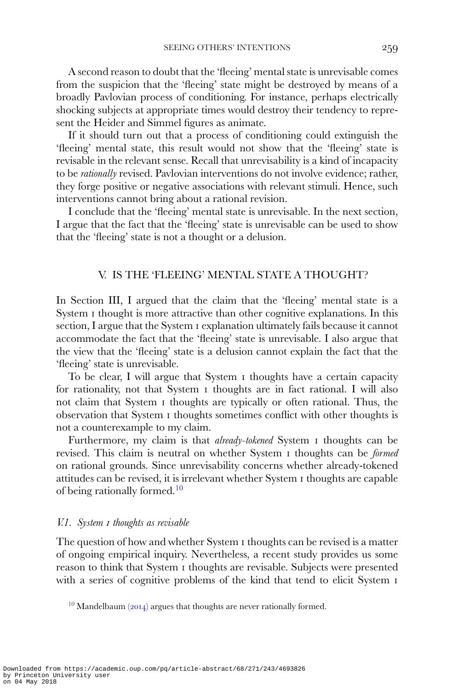A second reason to doubt that the 'fleeing' mental state is unrevisable comes from the suspicion that the 'fleeing' state might be destroyed by means of a broadly Pavlovian process of conditioning. For instance, perhaps electrically shocking subjects at appropriate times would destroy their tendency to represent the Heider and Simmel figures as animate.

If it should turn out that a process of conditioning could extinguish the 'fleeing' mental state, this result would not show that the 'fleeing' state is revisable in the relevant sense. Recall that unrevisability is a kind of incapacity to be *rationally* revised. Pavlovian interventions do not involve evidence; rather, they forge positive or negative associations with relevant stimuli. Hence, such interventions cannot bring about a rational revision.

I conclude that the 'fleeing' mental state is unrevisable. In the next section, I argue that the fact that the 'fleeing' state is unrevisable can be used to show that the 'fleeing' state is not a thought or a delusion.

## V. IS THE 'FLEEING' MENTAL STATE A THOUGHT?

In Section III, I argued that the claim that the 'fleeing' mental state is a System 1 thought is more attractive than other cognitive explanations. In this section, I argue that the System 1 explanation ultimately fails because it cannot accommodate the fact that the 'fleeing' state is unrevisable. I also argue that the view that the 'fleeing' state is a delusion cannot explain the fact that the 'fleeing' state is unrevisable.

To be clear, I will argue that System 1 thoughts have a certain capacity for rationality, not that System 1 thoughts are in fact rational. I will also not claim that System 1 thoughts are typically or often rational. Thus, the observation that System 1 thoughts sometimes conflict with other thoughts is not a counterexample to my claim.

Furthermore, my claim is that *already-tokened* System 1 thoughts can be revised. This claim is neutral on whether System 1 thoughts can be *formed* on rational grounds. Since unrevisability concerns whether already-tokened attitudes can be revised, it is irrelevant whether System 1 thoughts are capable of being rationally formed.<sup>[10](#page-16-0)</sup>

## *V.1. System 1 thoughts as revisable*

The question of how and whether System 1 thoughts can be revised is a matter of ongoing empirical inquiry. Nevertheless, a recent study provides us some reason to think that System 1 thoughts are revisable. Subjects were presented with a series of cognitive problems of the kind that tend to elicit System 1

<span id="page-16-0"></span> $10$  Mandelbaum ([2014](#page-21-22)) argues that thoughts are never rationally formed.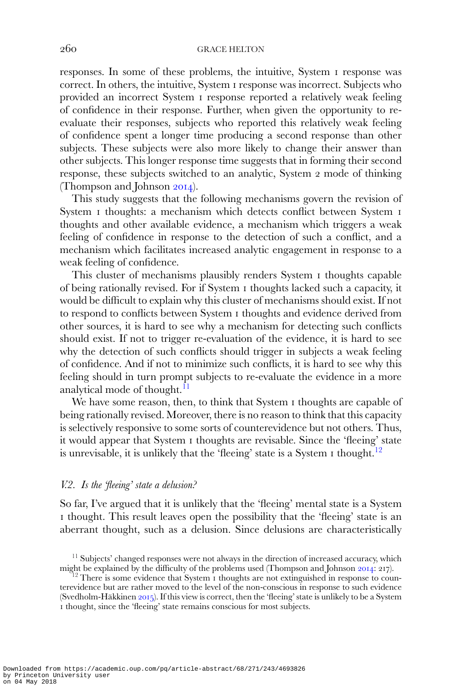responses. In some of these problems, the intuitive, System 1 response was correct. In others, the intuitive, System 1 response was incorrect. Subjects who provided an incorrect System 1 response reported a relatively weak feeling of confidence in their response. Further, when given the opportunity to reevaluate their responses, subjects who reported this relatively weak feeling of confidence spent a longer time producing a second response than other subjects. These subjects were also more likely to change their answer than other subjects. This longer response time suggests that in forming their second response, these subjects switched to an analytic, System 2 mode of thinking (Thompson and Johnson [2014](#page-21-27)).

This study suggests that the following mechanisms govern the revision of System 1 thoughts: a mechanism which detects conflict between System 1 thoughts and other available evidence, a mechanism which triggers a weak feeling of confidence in response to the detection of such a conflict, and a mechanism which facilitates increased analytic engagement in response to a weak feeling of confidence.

This cluster of mechanisms plausibly renders System 1 thoughts capable of being rationally revised. For if System 1 thoughts lacked such a capacity, it would be difficult to explain why this cluster of mechanisms should exist. If not to respond to conflicts between System 1 thoughts and evidence derived from other sources, it is hard to see why a mechanism for detecting such conflicts should exist. If not to trigger re-evaluation of the evidence, it is hard to see why the detection of such conflicts should trigger in subjects a weak feeling of confidence. And if not to minimize such conflicts, it is hard to see why this feeling should in turn prompt subjects to re-evaluate the evidence in a more analytical mode of thought. $\frac{11}{2}$  $\frac{11}{2}$  $\frac{11}{2}$ 

We have some reason, then, to think that System I thoughts are capable of being rationally revised. Moreover, there is no reason to think that this capacity is selectively responsive to some sorts of counterevidence but not others. Thus, it would appear that System 1 thoughts are revisable. Since the 'fleeing' state is unrevisable, it is unlikely that the 'fleeing' state is a System  $\sigma$  thought.<sup>[12](#page-17-1)</sup>

## *V.2. Is the 'fleeing' state a delusion?*

So far, I've argued that it is unlikely that the 'fleeing' mental state is a System 1 thought. This result leaves open the possibility that the 'fleeing' state is an aberrant thought, such as a delusion. Since delusions are characteristically

<span id="page-17-0"></span><sup>&</sup>lt;sup>11</sup> Subjects' changed responses were not always in the direction of increased accuracy, which might be explained by the difficulty of the problems used (Thompson and Johnson  $2014$ : 217).

<span id="page-17-1"></span> $^{2}$  There is some evidence that System 1 thoughts are not extinguished in response to counterevidence but are rather moved to the level of the non-conscious in response to such evidence (Svedholm-Häkkinen [2015](#page-21-28)). If this view is correct, then the 'fleeing' state is unlikely to be a System 1 thought, since the 'fleeing' state remains conscious for most subjects.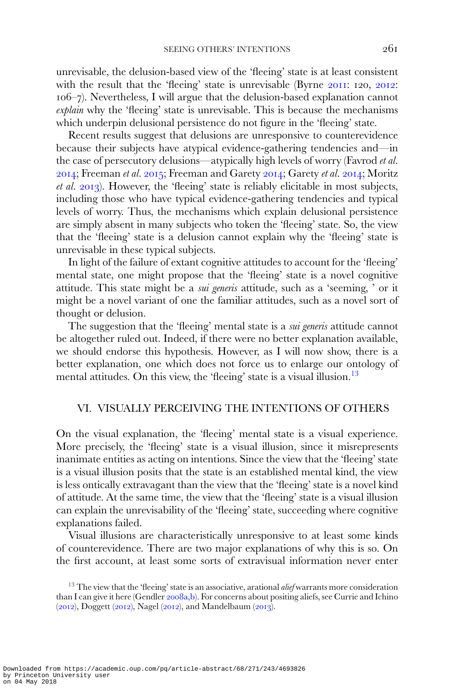unrevisable, the delusion-based view of the 'fleeing' state is at least consistent with the result that the 'fleeing' state is unrevisable (Byrne [2011](#page-19-9): 120, [2012](#page-20-19): 106–7). Nevertheless, I will argue that the delusion-based explanation cannot *explain* why the 'fleeing' state is unrevisable. This is because the mechanisms which underpin delusional persistence do not figure in the 'fleeing' state.

Recent results suggest that delusions are unresponsive to counterevidence because their subjects have atypical evidence-gathering tendencies and—in the case of persecutory delusions—atypically high levels of worry (Favrod *et al*. [2014](#page-20-20); Freeman *et al*. [2015](#page-20-21); Freeman and Garety [2014](#page-20-22); Garety *et al*. [2014](#page-20-23); Moritz *et al*. [2013](#page-21-29)). However, the 'fleeing' state is reliably elicitable in most subjects, including those who have typical evidence-gathering tendencies and typical levels of worry. Thus, the mechanisms which explain delusional persistence are simply absent in many subjects who token the 'fleeing' state. So, the view that the 'fleeing' state is a delusion cannot explain why the 'fleeing' state is unrevisable in these typical subjects.

In light of the failure of extant cognitive attitudes to account for the 'fleeing' mental state, one might propose that the 'fleeing' state is a novel cognitive attitude. This state might be a *sui generis* attitude, such as a 'seeming, ' or it might be a novel variant of one the familiar attitudes, such as a novel sort of thought or delusion.

The suggestion that the 'fleeing' mental state is a *sui generis* attitude cannot be altogether ruled out. Indeed, if there were no better explanation available, we should endorse this hypothesis. However, as I will now show, there is a better explanation, one which does not force us to enlarge our ontology of mental attitudes. On this view, the 'fleeing' state is a visual illusion.<sup>[13](#page-18-0)</sup>

## VI. VISUALLY PERCEIVING THE INTENTIONS OF OTHERS

On the visual explanation, the 'fleeing' mental state is a visual experience. More precisely, the 'fleeing' state is a visual illusion, since it misrepresents inanimate entities as acting on intentions. Since the view that the 'fleeing' state is a visual illusion posits that the state is an established mental kind, the view is less ontically extravagant than the view that the 'fleeing' state is a novel kind of attitude. At the same time, the view that the 'fleeing' state is a visual illusion can explain the unrevisability of the 'fleeing' state, succeeding where cognitive explanations failed.

Visual illusions are characteristically unresponsive to at least some kinds of counterevidence. There are two major explanations of why this is so. On the first account, at least some sorts of extravisual information never enter

<span id="page-18-0"></span><sup>13</sup> The view that the 'fleeing' state is an associative, arational *alief* warrants more consideration than I can give it here (Gendler [2008](#page-20-24)a[,b\)](#page-20-25). For concerns about positing aliefs, see Currie and Ichino ([2012](#page-20-26)), Doggett ([2012](#page-20-27)), Nagel ([2012](#page-21-30)), and Mandelbaum ([2013](#page-21-31)).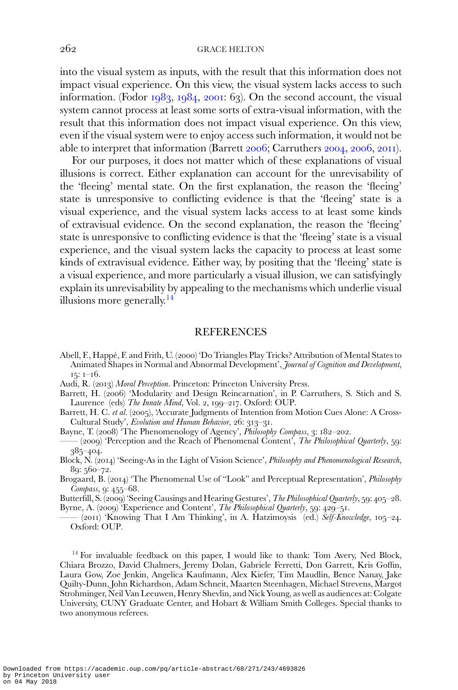into the visual system as inputs, with the result that this information does not impact visual experience. On this view, the visual system lacks access to such information. (Fodor  $1083$ ,  $1084$ ,  $2001$ : 63). On the second account, the visual system cannot process at least some sorts of extra-visual information, with the result that this information does not impact visual experience. On this view, even if the visual system were to enjoy access such information, it would not be able to interpret that information (Barrett [2006](#page-19-10); Carruthers [2004](#page-20-31), [2006](#page-20-32), [2011](#page-20-33)).

For our purposes, it does not matter which of these explanations of visual illusions is correct. Either explanation can account for the unrevisability of the 'fleeing' mental state. On the first explanation, the reason the 'fleeing' state is unresponsive to conflicting evidence is that the 'fleeing' state is a visual experience, and the visual system lacks access to at least some kinds of extravisual evidence. On the second explanation, the reason the 'fleeing' state is unresponsive to conflicting evidence is that the 'fleeing' state is a visual experience, and the visual system lacks the capacity to process at least some kinds of extravisual evidence. Either way, by positing that the 'fleeing' state is a visual experience, and more particularly a visual illusion, we can satisfyingly explain its unrevisability by appealing to the mechanisms which underlie visual illusions more generally. $14$ 

## REFERENCES

- <span id="page-19-7"></span>Abell, F., Happé, F. and Frith, U. (2000) 'Do Triangles Play Tricks? Attribution of Mental States to Animated Shapes in Normal and Abnormal Development', *Journal of Cognition and Development*, 15: 1–16.
- <span id="page-19-3"></span>Audi, R. (2013) *Moral Perception*. Princeton: Princeton University Press.
- <span id="page-19-10"></span>Barrett, H. (2006) 'Modularity and Design Reincarnation', in P. Carruthers, S. Stich and S. Laurence (eds) *The Innate Mind*, Vol. 2, 199–217. Oxford: OUP.
- <span id="page-19-8"></span>Barrett, H. C. *et al.* (2005), 'Accurate Judgments of Intention from Motion Cues Alone: A Cross-Cultural Study', *Evolution and Human Behavior*, 26: 313–31.
- <span id="page-19-4"></span>Bayne, T. (2008) 'The Phenomenology of Agency', *Philosophy Compass*, 3: 182–202.
- <span id="page-19-5"></span>—— (2009) 'Perception and the Reach of Phenomenal Content', *The Philosophical Quarterly*, 59: 385–404.
- <span id="page-19-6"></span>Block, N. (2014) 'Seeing-As in the Light of Vision Science', *Philosophy and Phenomenological Research*, 89: 560–72.
- <span id="page-19-1"></span>Brogaard, B. (2014) 'The Phenomenal Use of "Look" and Perceptual Representation', *Philosophy Compass*, 9: 455–68.
- <span id="page-19-9"></span><span id="page-19-2"></span><span id="page-19-0"></span>Butterfill, S. (2009) 'Seeing Causings and Hearing Gestures',*The Philosophical Quarterly*, 59: 405–28. Byrne, A. (2009) 'Experience and Content', *The Philosophical Quarterly*, 59: 429–51.
	- —— (2011) 'Knowing That I Am Thinking', in A. Hatzimoysis (ed.) *Self-Knowledge*, 105–24. Oxford: OUP.

<span id="page-19-11"></span> $14$  For invaluable feedback on this paper, I would like to thank: Tom Avery, Ned Block, Chiara Brozzo, David Chalmers, Jeremy Dolan, Gabriele Ferretti, Don Garrett, Kris Goffin, Laura Gow, Zoe Jenkin, Angelica Kaufmann, Alex Kiefer, Tim Maudlin, Bence Nanay, Jake Quilty-Dunn, John Richardson, Adam Schneit, Maarten Steenhagen, Michael Strevens, Margot Strohminger, Neil Van Leeuwen, Henry Shevlin, and Nick Young, as well as audiences at: Colgate University, CUNY Graduate Center, and Hobart & William Smith Colleges. Special thanks to two anonymous referees.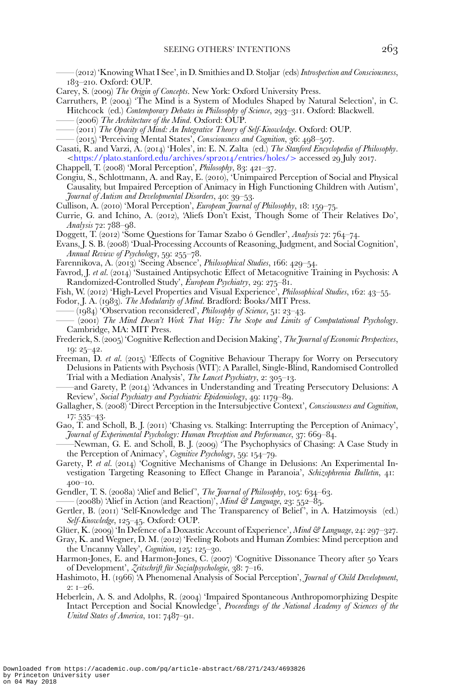<span id="page-20-19"></span>—— (2012) 'Knowing What I See', in D. Smithies and D. Stoljar (eds)*Introspection and Consciousness*, 183–210. Oxford: OUP.

- <span id="page-20-3"></span>Carey, S. (2009) *The Origin of Concepts*. New York: Oxford University Press.
- <span id="page-20-31"></span>Carruthers, P. (2004) 'The Mind is a System of Modules Shaped by Natural Selection', in C. Hitchcock (ed.) *Contemporary Debates in Philosophy of Science*, 293–311. Oxford: Blackwell.
	- —— (2006) *The Architecture of the Mind*. Oxford: OUP.
- <span id="page-20-33"></span><span id="page-20-32"></span>—— (2011) *The Opacity of Mind: An Integrative Theory of Self-Knowledge*. Oxford: OUP.
- <span id="page-20-1"></span>—— (2015) 'Perceiving Mental States', *Consciousness and Cognition*, 36: 498–507.
- <span id="page-20-11"></span>Casati, R. and Varzi, A. (2014) 'Holes', in: E. N. Zalta (ed.) *The Stanford Encyclopedia of Philosophy*. <[https://plato.stanford.edu/archives/spr](https://plato.stanford.edu/archives/spr2014/entries/holes/protect $
elax >$)2014/entries/holes/> accessed 29 July 2017.
- <span id="page-20-7"></span>Chappell, T. (2008) 'Moral Perception', *Philosophy*, 83: 421–37.
- <span id="page-20-5"></span>Congiu, S., Schlottmann, A. and Ray, E. (2010), 'Unimpaired Perception of Social and Physical Causality, but Impaired Perception of Animacy in High Functioning Children with Autism', *Journal of Autism and Developmental Disorders*, 40: 39–53.
- <span id="page-20-8"></span>Cullison, A. (2010) 'Moral Perception', *European Journal of Philosophy*, 18: 159–75.
- <span id="page-20-26"></span>Currie, G. and Ichino, A. (2012), 'Aliefs Don't Exist, Though Some of Their Relatives Do', *Analysis* 72: 788–98.
- <span id="page-20-27"></span>Doggett, T. (2012) 'Some Questions for Tamar Szabo ó Gendler', *Analysis* 72: 764–74.
- <span id="page-20-14"></span>Evans, J. S. B. (2008) 'Dual-Processing Accounts of Reasoning, Judgment, and Social Cognition', *Annual Review of Psychology*, 59: 255–78.
- <span id="page-20-9"></span>Farennikova, A. (2013) 'Seeing Absence', *Philosophical Studies*, 166: 429–54.
- <span id="page-20-20"></span>Favrod, J. *et al.* (2014) 'Sustained Antipsychotic Effect of Metacognitive Training in Psychosis: A Randomized-Controlled Study', *European Psychiatry*, 29: 275–81.
- <span id="page-20-10"></span>Fish, W. (2012) 'High-Level Properties and Visual Experience', *Philosophical Studies*, 162: 43–55.
- <span id="page-20-28"></span>Fodor, J. A. (1983). *The Modularity of Mind*. Bradford: Books/MIT Press.
- <span id="page-20-29"></span>—— (1984) 'Observation reconsidered', *Philosophy of Science*, 51: 23–43.
- <span id="page-20-30"></span>—— (2001) *The Mind Doesn't Work That Way: The Scope and Limits of Computational Psychology*. Cambridge, MA: MIT Press.
- <span id="page-20-15"></span>Frederick, S. (2005) 'Cognitive Reflection and Decision Making',*The Journal of Economic Perspectives*, 19: 25–42.
- <span id="page-20-21"></span>Freeman, D. *et al.* (2015) 'Effects of Cognitive Behaviour Therapy for Worry on Persecutory Delusions in Patients with Psychosis (WIT): A Parallel, Single-Blind, Randomised Controlled Trial with a Mediation Analysis', *The Lancet Psychiatry*, 2: 305–13.
- <span id="page-20-22"></span>——and Garety, P. (2014) 'Advances in Understanding and Treating Persecutory Delusions: A Review', *Social Psychiatry and Psychiatric Epidemiology*, 49: 1179–89.
- <span id="page-20-2"></span>Gallagher, S. (2008) 'Direct Perception in the Intersubjective Context', *Consciousness and Cognition*, 17: 535–43.
- <span id="page-20-13"></span>Gao, T. and Scholl, B. J. (2011) 'Chasing vs. Stalking: Interrupting the Perception of Animacy', *Journal of Experimental Psychology: Human Perception and Performance*, 37: 669–84.
- <span id="page-20-12"></span>——Newman, G. E. and Scholl, B. J. (2009) 'The Psychophysics of Chasing: A Case Study in the Perception of Animacy', *Cognitive Psychology*, 59: 154–79.
- <span id="page-20-23"></span>Garety, P. *et al.* (2014) 'Cognitive Mechanisms of Change in Delusions: An Experimental Investigation Targeting Reasoning to Effect Change in Paranoia', *Schizophrenia Bulletin*, 41: 400–10.
- <span id="page-20-24"></span>Gendler, T. S. (2008a) 'Alief and Belief ', *The Journal of Philosophy*, 105: 634–63.
- <span id="page-20-25"></span>—— (2008b) 'Alief in Action (and Reaction)', *Mind & Language*, 23: 552–85.
- <span id="page-20-17"></span>Gertler, B. (2011) 'Self-Knowledge and The Transparency of Belief ', in A. Hatzimoysis (ed.) *Self-Knowledge*, 125–45. Oxford: OUP.
- <span id="page-20-4"></span>Gluer, K. (2009) 'In Defence of a Doxastic Account of Experience', *Mind & Language*, 24: 297–327.
- <span id="page-20-18"></span>Gray, K. and Wegner, D. M. (2012) 'Feeling Robots and Human Zombies: Mind perception and the Uncanny Valley', *Cognition*, 125: 125–30.
- <span id="page-20-16"></span>Harmon-Jones, E. and Harmon-Jones, C. (2007) 'Cognitive Dissonance Theory after 50 Years of Development', *Zeitschrift für Sozialpsychologie*, 38: 7–16.
- <span id="page-20-0"></span>Hashimoto, H. (1966) 'A Phenomenal Analysis of Social Perception', *Journal of Child Development*, 2: 1–26.
- <span id="page-20-6"></span>Heberlein, A. S. and Adolphs, R. (2004) 'Impaired Spontaneous Anthropomorphizing Despite Intact Perception and Social Knowledge', *Proceedings of the National Academy of Sciences of the United States of America*, 101: 7487–91.